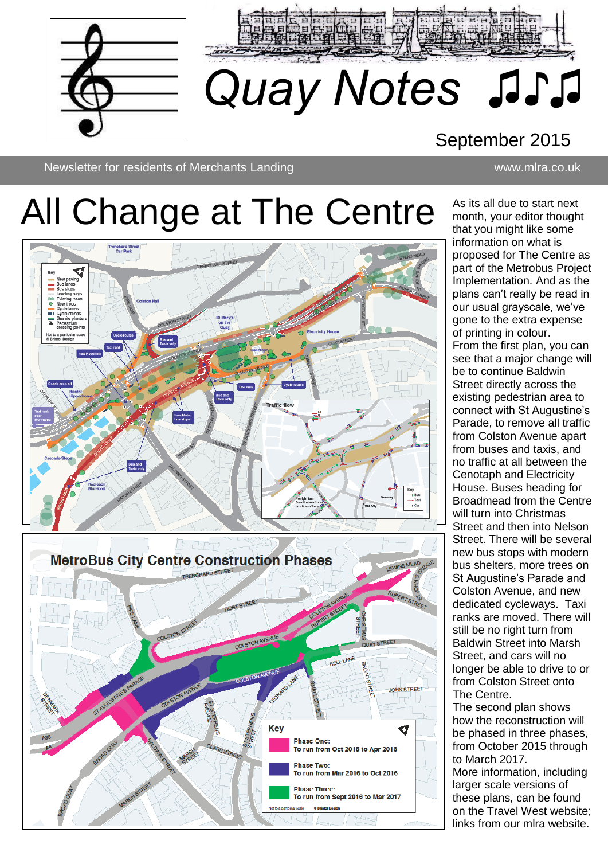



## September 2015

Newsletter Newsletter for residents of Merchants Landing www.mlra.co.uk

# All Change at The Centre



As its all due to start next month, your editor thought that you might like some information on what is proposed for The Centre as part of the Metrobus Project Implementation. And as the plans can't really be read in our usual grayscale, we've gone to the extra expense of printing in colour. From the first plan, you can see that a major change will be to continue Baldwin Street directly across the existing pedestrian area to connect with St Augustine's Parade, to remove all traffic from Colston Avenue apart from buses and taxis, and no traffic at all between the Cenotaph and Electricity House. Buses heading for Broadmead from the Centre will turn into Christmas Street and then into Nelson Street. There will be several new bus stops with modern bus shelters, more trees on St Augustine's Parade and Colston Avenue, and new dedicated cycleways. Taxi ranks are moved. There will still be no right turn from Baldwin Street into Marsh Street, and cars will no longer be able to drive to or from Colston Street onto The Centre. The second plan shows how the reconstruction will be phased in three phases, from October 2015 through to March 2017. More information, including

larger scale versions of these plans, can be found on the Travel West website; links from our mlra website.